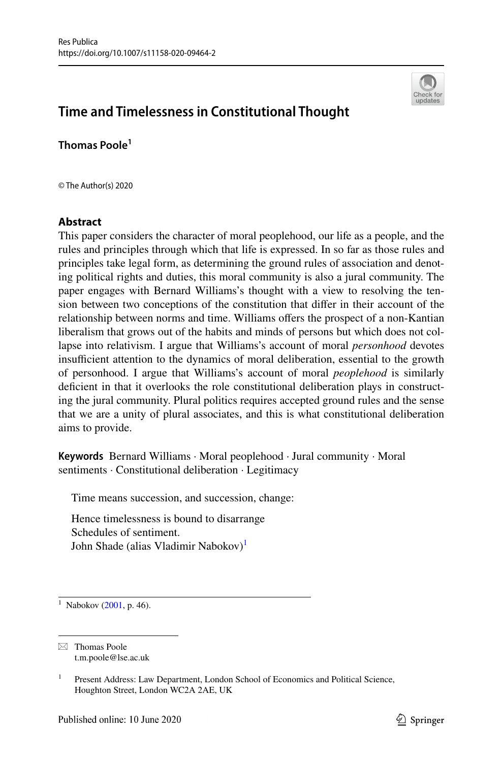

# **Time and Timelessness in Constitutional Thought**

**Thomas Poole<sup>1</sup>**

© The Author(s) 2020

## **Abstract**

This paper considers the character of moral peoplehood, our life as a people, and the rules and principles through which that life is expressed. In so far as those rules and principles take legal form, as determining the ground rules of association and denoting political rights and duties, this moral community is also a jural community. The paper engages with Bernard Williams's thought with a view to resolving the tension between two conceptions of the constitution that difer in their account of the relationship between norms and time. Williams ofers the prospect of a non-Kantian liberalism that grows out of the habits and minds of persons but which does not collapse into relativism. I argue that Williams's account of moral *personhood* devotes insufficient attention to the dynamics of moral deliberation, essential to the growth of personhood. I argue that Williams's account of moral *peoplehood* is similarly defcient in that it overlooks the role constitutional deliberation plays in constructing the jural community. Plural politics requires accepted ground rules and the sense that we are a unity of plural associates, and this is what constitutional deliberation aims to provide.

**Keywords** Bernard Williams · Moral peoplehood · Jural community · Moral sentiments · Constitutional deliberation · Legitimacy

Time means succession, and succession, change:

Hence timelessness is bound to disarrange Schedules of sentiment. John Shade (alias Vladimir Nabokov)<sup>[1](#page-0-0)</sup>

<span id="page-0-0"></span> $1$  Nabokov [\(2001](#page-14-0), p. 46).

 $\boxtimes$  Thomas Poole t.m.poole@lse.ac.uk

<sup>&</sup>lt;sup>1</sup> Present Address: Law Department, London School of Economics and Political Science, Houghton Street, London WC2A 2AE, UK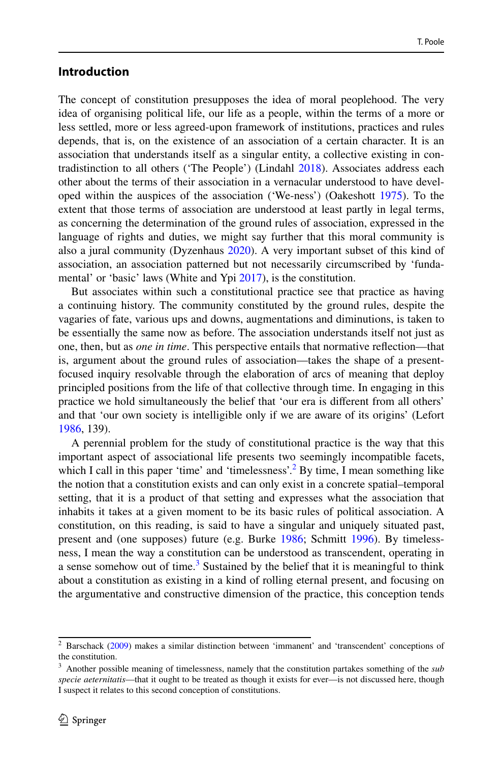## **Introduction**

The concept of constitution presupposes the idea of moral peoplehood. The very idea of organising political life, our life as a people, within the terms of a more or less settled, more or less agreed-upon framework of institutions, practices and rules depends, that is, on the existence of an association of a certain character. It is an association that understands itself as a singular entity, a collective existing in contradistinction to all others ('The People') (Lindahl [2018\)](#page-14-1). Associates address each other about the terms of their association in a vernacular understood to have developed within the auspices of the association ('We-ness') (Oakeshott [1975\)](#page-14-2). To the extent that those terms of association are understood at least partly in legal terms, as concerning the determination of the ground rules of association, expressed in the language of rights and duties, we might say further that this moral community is also a jural community (Dyzenhaus [2020](#page-14-3)). A very important subset of this kind of association, an association patterned but not necessarily circumscribed by 'fundamental' or 'basic' laws (White and Ypi [2017](#page-15-0)), is the constitution.

But associates within such a constitutional practice see that practice as having a continuing history. The community constituted by the ground rules, despite the vagaries of fate, various ups and downs, augmentations and diminutions, is taken to be essentially the same now as before. The association understands itself not just as one, then, but as *one in time*. This perspective entails that normative refection—that is, argument about the ground rules of association—takes the shape of a presentfocused inquiry resolvable through the elaboration of arcs of meaning that deploy principled positions from the life of that collective through time. In engaging in this practice we hold simultaneously the belief that 'our era is diferent from all others' and that 'our own society is intelligible only if we are aware of its origins' (Lefort [1986](#page-14-4), 139).

A perennial problem for the study of constitutional practice is the way that this important aspect of associational life presents two seemingly incompatible facets, which I call in this paper 'time' and 'timelessness'.<sup>2</sup> By time, I mean something like the notion that a constitution exists and can only exist in a concrete spatial–temporal setting, that it is a product of that setting and expresses what the association that inhabits it takes at a given moment to be its basic rules of political association. A constitution, on this reading, is said to have a singular and uniquely situated past, present and (one supposes) future (e.g. Burke [1986](#page-14-5); Schmitt [1996\)](#page-15-1). By timelessness, I mean the way a constitution can be understood as transcendent, operating in a sense somehow out of time.<sup>3</sup> Sustained by the belief that it is meaningful to think about a constitution as existing in a kind of rolling eternal present, and focusing on the argumentative and constructive dimension of the practice, this conception tends

<span id="page-1-0"></span><sup>2</sup> Barschack [\(2009](#page-14-6)) makes a similar distinction between 'immanent' and 'transcendent' conceptions of the constitution.

<span id="page-1-1"></span><sup>3</sup> Another possible meaning of timelessness, namely that the constitution partakes something of the *sub specie aeternitatis*—that it ought to be treated as though it exists for ever—is not discussed here, though I suspect it relates to this second conception of constitutions.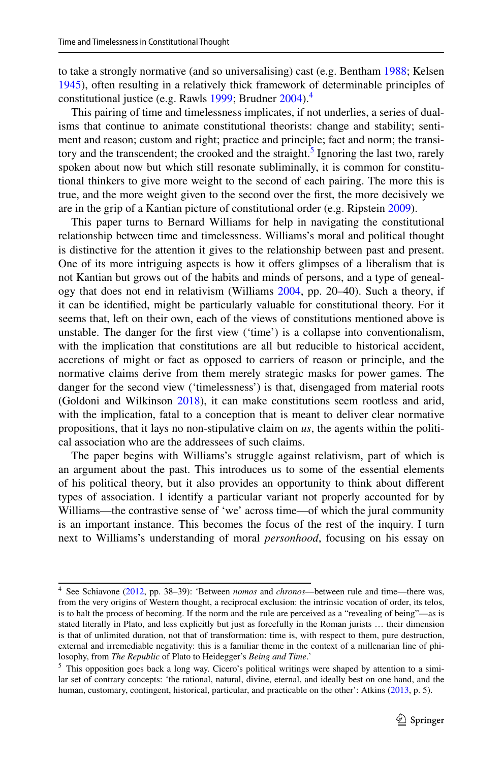to take a strongly normative (and so universalising) cast (e.g. Bentham [1988](#page-14-7); Kelsen [1945](#page-14-8)), often resulting in a relatively thick framework of determinable principles of constitutional justice (e.g. Rawls [1999;](#page-14-9) Brudner [2004](#page-14-10)).<sup>[4](#page-2-0)</sup>

This pairing of time and timelessness implicates, if not underlies, a series of dualisms that continue to animate constitutional theorists: change and stability; sentiment and reason; custom and right; practice and principle; fact and norm; the transi-tory and the transcendent; the crooked and the straight.<sup>[5](#page-2-1)</sup> Ignoring the last two, rarely spoken about now but which still resonate subliminally, it is common for constitutional thinkers to give more weight to the second of each pairing. The more this is true, and the more weight given to the second over the frst, the more decisively we are in the grip of a Kantian picture of constitutional order (e.g. Ripstein [2009](#page-14-11)).

This paper turns to Bernard Williams for help in navigating the constitutional relationship between time and timelessness. Williams's moral and political thought is distinctive for the attention it gives to the relationship between past and present. One of its more intriguing aspects is how it offers glimpses of a liberalism that is not Kantian but grows out of the habits and minds of persons, and a type of genealogy that does not end in relativism (Williams [2004,](#page-15-2) pp. 20–40). Such a theory, if it can be identifed, might be particularly valuable for constitutional theory. For it seems that, left on their own, each of the views of constitutions mentioned above is unstable. The danger for the frst view ('time') is a collapse into conventionalism, with the implication that constitutions are all but reducible to historical accident, accretions of might or fact as opposed to carriers of reason or principle, and the normative claims derive from them merely strategic masks for power games. The danger for the second view ('timelessness') is that, disengaged from material roots (Goldoni and Wilkinson [2018\)](#page-14-12), it can make constitutions seem rootless and arid, with the implication, fatal to a conception that is meant to deliver clear normative propositions, that it lays no non-stipulative claim on *us*, the agents within the political association who are the addressees of such claims.

The paper begins with Williams's struggle against relativism, part of which is an argument about the past. This introduces us to some of the essential elements of his political theory, but it also provides an opportunity to think about diferent types of association. I identify a particular variant not properly accounted for by Williams—the contrastive sense of 'we' across time—of which the jural community is an important instance. This becomes the focus of the rest of the inquiry. I turn next to Williams's understanding of moral *personhood*, focusing on his essay on

<span id="page-2-0"></span><sup>4</sup> See Schiavone ([2012,](#page-14-13) pp. 38–39): 'Between *nomos* and *chronos*—between rule and time—there was, from the very origins of Western thought, a reciprocal exclusion: the intrinsic vocation of order, its telos, is to halt the process of becoming. If the norm and the rule are perceived as a "revealing of being"—as is stated literally in Plato, and less explicitly but just as forcefully in the Roman jurists … their dimension is that of unlimited duration, not that of transformation: time is, with respect to them, pure destruction, external and irremediable negativity: this is a familiar theme in the context of a millenarian line of philosophy, from *The Republic* of Plato to Heidegger's *Being and Time*.'

<span id="page-2-1"></span><sup>&</sup>lt;sup>5</sup> This opposition goes back a long way. Cicero's political writings were shaped by attention to a similar set of contrary concepts: 'the rational, natural, divine, eternal, and ideally best on one hand, and the human, customary, contingent, historical, particular, and practicable on the other': Atkins [\(2013](#page-14-14), p. 5).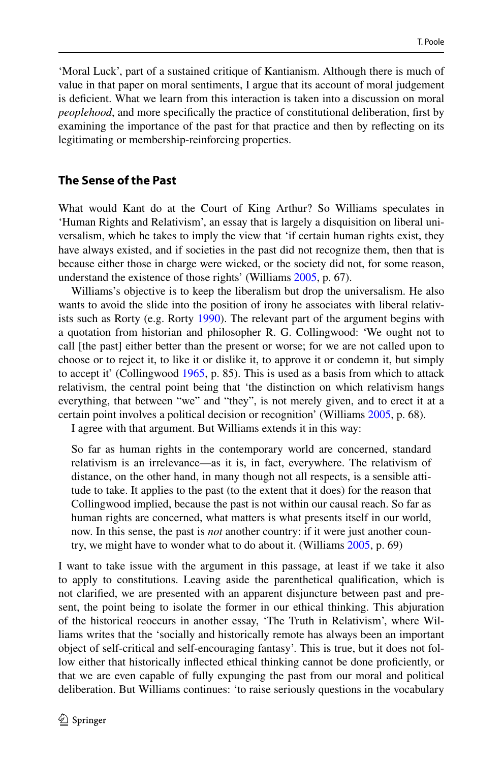'Moral Luck', part of a sustained critique of Kantianism. Although there is much of value in that paper on moral sentiments, I argue that its account of moral judgement is defcient. What we learn from this interaction is taken into a discussion on moral *peoplehood*, and more specifically the practice of constitutional deliberation, first by examining the importance of the past for that practice and then by refecting on its legitimating or membership-reinforcing properties.

# **The Sense of the Past**

What would Kant do at the Court of King Arthur? So Williams speculates in 'Human Rights and Relativism', an essay that is largely a disquisition on liberal universalism, which he takes to imply the view that 'if certain human rights exist, they have always existed, and if societies in the past did not recognize them, then that is because either those in charge were wicked, or the society did not, for some reason, understand the existence of those rights' (Williams [2005,](#page-15-3) p. 67).

Williams's objective is to keep the liberalism but drop the universalism. He also wants to avoid the slide into the position of irony he associates with liberal relativists such as Rorty (e.g. Rorty [1990\)](#page-14-15). The relevant part of the argument begins with a quotation from historian and philosopher R. G. Collingwood: 'We ought not to call [the past] either better than the present or worse; for we are not called upon to choose or to reject it, to like it or dislike it, to approve it or condemn it, but simply to accept it' (Collingwood [1965](#page-14-16), p. 85). This is used as a basis from which to attack relativism, the central point being that 'the distinction on which relativism hangs everything, that between "we" and "they", is not merely given, and to erect it at a certain point involves a political decision or recognition' (Williams [2005,](#page-15-3) p. 68).

I agree with that argument. But Williams extends it in this way:

So far as human rights in the contemporary world are concerned, standard relativism is an irrelevance—as it is, in fact, everywhere. The relativism of distance, on the other hand, in many though not all respects, is a sensible attitude to take. It applies to the past (to the extent that it does) for the reason that Collingwood implied, because the past is not within our causal reach. So far as human rights are concerned, what matters is what presents itself in our world, now. In this sense, the past is *not* another country: if it were just another country, we might have to wonder what to do about it. (Williams [2005,](#page-15-3) p. 69)

I want to take issue with the argument in this passage, at least if we take it also to apply to constitutions. Leaving aside the parenthetical qualifcation, which is not clarifed, we are presented with an apparent disjuncture between past and present, the point being to isolate the former in our ethical thinking. This abjuration of the historical reoccurs in another essay, 'The Truth in Relativism', where Williams writes that the 'socially and historically remote has always been an important object of self-critical and self-encouraging fantasy'. This is true, but it does not follow either that historically infected ethical thinking cannot be done profciently, or that we are even capable of fully expunging the past from our moral and political deliberation. But Williams continues: 'to raise seriously questions in the vocabulary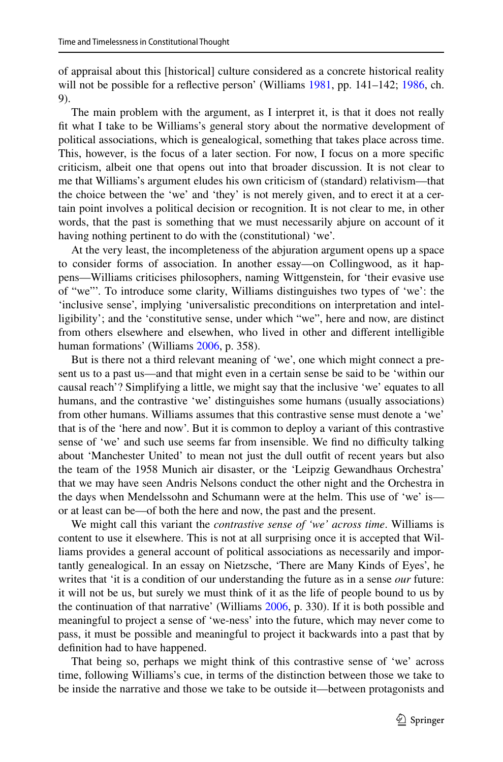of appraisal about this [historical] culture considered as a concrete historical reality will not be possible for a reflective person' (Williams [1981,](#page-15-4) pp. 141–142; [1986](#page-15-5), ch. 9).

The main problem with the argument, as I interpret it, is that it does not really ft what I take to be Williams's general story about the normative development of political associations, which is genealogical, something that takes place across time. This, however, is the focus of a later section. For now, I focus on a more specifc criticism, albeit one that opens out into that broader discussion. It is not clear to me that Williams's argument eludes his own criticism of (standard) relativism—that the choice between the 'we' and 'they' is not merely given, and to erect it at a certain point involves a political decision or recognition. It is not clear to me, in other words, that the past is something that we must necessarily abjure on account of it having nothing pertinent to do with the (constitutional) 'we'.

At the very least, the incompleteness of the abjuration argument opens up a space to consider forms of association. In another essay—on Collingwood, as it happens—Williams criticises philosophers, naming Wittgenstein, for 'their evasive use of "we"'. To introduce some clarity, Williams distinguishes two types of 'we': the 'inclusive sense', implying 'universalistic preconditions on interpretation and intelligibility'; and the 'constitutive sense, under which "we", here and now, are distinct from others elsewhere and elsewhen, who lived in other and diferent intelligible human formations' (Williams [2006,](#page-15-6) p. 358).

But is there not a third relevant meaning of 'we', one which might connect a present us to a past us—and that might even in a certain sense be said to be 'within our causal reach'? Simplifying a little, we might say that the inclusive 'we' equates to all humans, and the contrastive 'we' distinguishes some humans (usually associations) from other humans. Williams assumes that this contrastive sense must denote a 'we' that is of the 'here and now'. But it is common to deploy a variant of this contrastive sense of 'we' and such use seems far from insensible. We find no difficulty talking about 'Manchester United' to mean not just the dull outft of recent years but also the team of the 1958 Munich air disaster, or the 'Leipzig Gewandhaus Orchestra' that we may have seen Andris Nelsons conduct the other night and the Orchestra in the days when Mendelssohn and Schumann were at the helm. This use of 'we' is or at least can be—of both the here and now, the past and the present.

We might call this variant the *contrastive sense of 'we' across time*. Williams is content to use it elsewhere. This is not at all surprising once it is accepted that Williams provides a general account of political associations as necessarily and importantly genealogical. In an essay on Nietzsche, 'There are Many Kinds of Eyes', he writes that 'it is a condition of our understanding the future as in a sense *our* future: it will not be us, but surely we must think of it as the life of people bound to us by the continuation of that narrative' (Williams [2006,](#page-15-6) p. 330). If it is both possible and meaningful to project a sense of 'we-ness' into the future, which may never come to pass, it must be possible and meaningful to project it backwards into a past that by defnition had to have happened.

That being so, perhaps we might think of this contrastive sense of 'we' across time, following Williams's cue, in terms of the distinction between those we take to be inside the narrative and those we take to be outside it—between protagonists and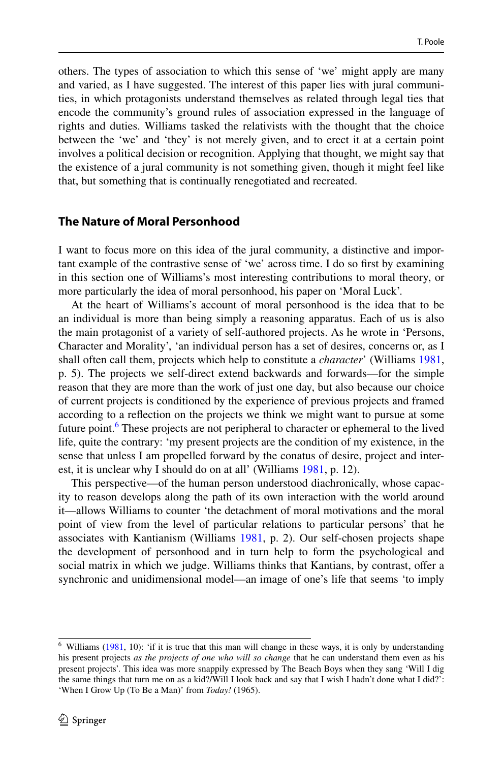others. The types of association to which this sense of 'we' might apply are many and varied, as I have suggested. The interest of this paper lies with jural communities, in which protagonists understand themselves as related through legal ties that encode the community's ground rules of association expressed in the language of rights and duties. Williams tasked the relativists with the thought that the choice between the 'we' and 'they' is not merely given, and to erect it at a certain point involves a political decision or recognition. Applying that thought, we might say that the existence of a jural community is not something given, though it might feel like that, but something that is continually renegotiated and recreated.

### **The Nature of Moral Personhood**

I want to focus more on this idea of the jural community, a distinctive and important example of the contrastive sense of 'we' across time. I do so frst by examining in this section one of Williams's most interesting contributions to moral theory, or more particularly the idea of moral personhood, his paper on 'Moral Luck'.

At the heart of Williams's account of moral personhood is the idea that to be an individual is more than being simply a reasoning apparatus. Each of us is also the main protagonist of a variety of self-authored projects. As he wrote in 'Persons, Character and Morality', 'an individual person has a set of desires, concerns or, as I shall often call them, projects which help to constitute a *character*' (Williams [1981,](#page-15-4) p. 5). The projects we self-direct extend backwards and forwards—for the simple reason that they are more than the work of just one day, but also because our choice of current projects is conditioned by the experience of previous projects and framed according to a refection on the projects we think we might want to pursue at some future point.<sup>6</sup> These projects are not peripheral to character or ephemeral to the lived life, quite the contrary: 'my present projects are the condition of my existence, in the sense that unless I am propelled forward by the conatus of desire, project and interest, it is unclear why I should do on at all' (Williams [1981,](#page-15-4) p. 12).

This perspective—of the human person understood diachronically, whose capacity to reason develops along the path of its own interaction with the world around it—allows Williams to counter 'the detachment of moral motivations and the moral point of view from the level of particular relations to particular persons' that he associates with Kantianism (Williams [1981,](#page-15-4) p. 2). Our self-chosen projects shape the development of personhood and in turn help to form the psychological and social matrix in which we judge. Williams thinks that Kantians, by contrast, offer a synchronic and unidimensional model—an image of one's life that seems 'to imply

<span id="page-5-0"></span> $6$  Williams [\(1981](#page-15-4), 10): 'if it is true that this man will change in these ways, it is only by understanding his present projects *as the projects of one who will so change* that he can understand them even as his present projects'. This idea was more snappily expressed by The Beach Boys when they sang 'Will I dig the same things that turn me on as a kid?/Will I look back and say that I wish I hadn't done what I did?': 'When I Grow Up (To Be a Man)' from *Today!* (1965).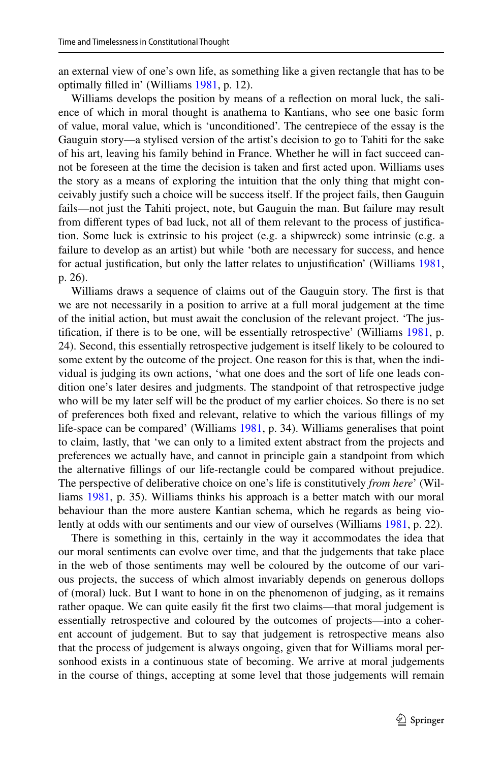an external view of one's own life, as something like a given rectangle that has to be optimally flled in' (Williams [1981](#page-15-4), p. 12).

Williams develops the position by means of a refection on moral luck, the salience of which in moral thought is anathema to Kantians, who see one basic form of value, moral value, which is 'unconditioned'. The centrepiece of the essay is the Gauguin story—a stylised version of the artist's decision to go to Tahiti for the sake of his art, leaving his family behind in France. Whether he will in fact succeed cannot be foreseen at the time the decision is taken and frst acted upon. Williams uses the story as a means of exploring the intuition that the only thing that might conceivably justify such a choice will be success itself. If the project fails, then Gauguin fails—not just the Tahiti project, note, but Gauguin the man. But failure may result from diferent types of bad luck, not all of them relevant to the process of justifcation. Some luck is extrinsic to his project (e.g. a shipwreck) some intrinsic (e.g. a failure to develop as an artist) but while 'both are necessary for success, and hence for actual justifcation, but only the latter relates to unjustifcation' (Williams [1981,](#page-15-4) p. 26).

Williams draws a sequence of claims out of the Gauguin story. The frst is that we are not necessarily in a position to arrive at a full moral judgement at the time of the initial action, but must await the conclusion of the relevant project. 'The justifcation, if there is to be one, will be essentially retrospective' (Williams [1981](#page-15-4), p. 24). Second, this essentially retrospective judgement is itself likely to be coloured to some extent by the outcome of the project. One reason for this is that, when the individual is judging its own actions, 'what one does and the sort of life one leads condition one's later desires and judgments. The standpoint of that retrospective judge who will be my later self will be the product of my earlier choices. So there is no set of preferences both fxed and relevant, relative to which the various fllings of my life-space can be compared' (Williams [1981](#page-15-4), p. 34). Williams generalises that point to claim, lastly, that 'we can only to a limited extent abstract from the projects and preferences we actually have, and cannot in principle gain a standpoint from which the alternative fllings of our life-rectangle could be compared without prejudice. The perspective of deliberative choice on one's life is constitutively *from here*' (Williams [1981](#page-15-4), p. 35). Williams thinks his approach is a better match with our moral behaviour than the more austere Kantian schema, which he regards as being violently at odds with our sentiments and our view of ourselves (Williams [1981](#page-15-4), p. 22).

There is something in this, certainly in the way it accommodates the idea that our moral sentiments can evolve over time, and that the judgements that take place in the web of those sentiments may well be coloured by the outcome of our various projects, the success of which almost invariably depends on generous dollops of (moral) luck. But I want to hone in on the phenomenon of judging, as it remains rather opaque. We can quite easily fit the first two claims—that moral judgement is essentially retrospective and coloured by the outcomes of projects—into a coherent account of judgement. But to say that judgement is retrospective means also that the process of judgement is always ongoing, given that for Williams moral personhood exists in a continuous state of becoming. We arrive at moral judgements in the course of things, accepting at some level that those judgements will remain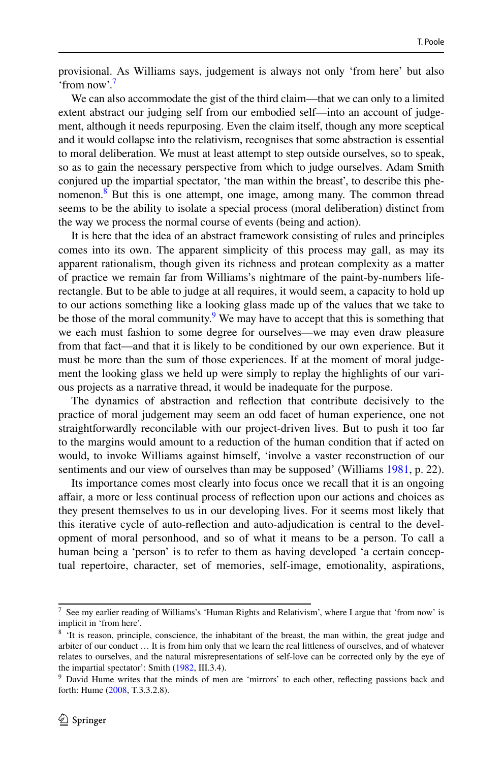provisional. As Williams says, judgement is always not only 'from here' but also 'from now'[.7](#page-7-0)

We can also accommodate the gist of the third claim—that we can only to a limited extent abstract our judging self from our embodied self—into an account of judgement, although it needs repurposing. Even the claim itself, though any more sceptical and it would collapse into the relativism, recognises that some abstraction is essential to moral deliberation. We must at least attempt to step outside ourselves, so to speak, so as to gain the necessary perspective from which to judge ourselves. Adam Smith conjured up the impartial spectator, 'the man within the breast', to describe this phenomenon[.8](#page-7-1) But this is one attempt, one image, among many. The common thread seems to be the ability to isolate a special process (moral deliberation) distinct from the way we process the normal course of events (being and action).

It is here that the idea of an abstract framework consisting of rules and principles comes into its own. The apparent simplicity of this process may gall, as may its apparent rationalism, though given its richness and protean complexity as a matter of practice we remain far from Williams's nightmare of the paint-by-numbers liferectangle. But to be able to judge at all requires, it would seem, a capacity to hold up to our actions something like a looking glass made up of the values that we take to be those of the moral community.<sup>9</sup> We may have to accept that this is something that we each must fashion to some degree for ourselves—we may even draw pleasure from that fact—and that it is likely to be conditioned by our own experience. But it must be more than the sum of those experiences. If at the moment of moral judgement the looking glass we held up were simply to replay the highlights of our various projects as a narrative thread, it would be inadequate for the purpose.

The dynamics of abstraction and refection that contribute decisively to the practice of moral judgement may seem an odd facet of human experience, one not straightforwardly reconcilable with our project-driven lives. But to push it too far to the margins would amount to a reduction of the human condition that if acted on would, to invoke Williams against himself, 'involve a vaster reconstruction of our sentiments and our view of ourselves than may be supposed' (Williams [1981,](#page-15-4) p. 22).

Its importance comes most clearly into focus once we recall that it is an ongoing afair, a more or less continual process of refection upon our actions and choices as they present themselves to us in our developing lives. For it seems most likely that this iterative cycle of auto-refection and auto-adjudication is central to the development of moral personhood, and so of what it means to be a person. To call a human being a 'person' is to refer to them as having developed 'a certain conceptual repertoire, character, set of memories, self-image, emotionality, aspirations,

<span id="page-7-0"></span><sup>7</sup> See my earlier reading of Williams's 'Human Rights and Relativism', where I argue that 'from now' is implicit in 'from here'.

<span id="page-7-1"></span><sup>&</sup>lt;sup>8</sup> 'It is reason, principle, conscience, the inhabitant of the breast, the man within, the great judge and arbiter of our conduct … It is from him only that we learn the real littleness of ourselves, and of whatever relates to ourselves, and the natural misrepresentations of self-love can be corrected only by the eye of the impartial spectator': Smith [\(1982](#page-15-7), III.3.4).

<span id="page-7-2"></span><sup>&</sup>lt;sup>9</sup> David Hume writes that the minds of men are 'mirrors' to each other, reflecting passions back and forth: Hume [\(2008](#page-14-17), T.3.3.2.8).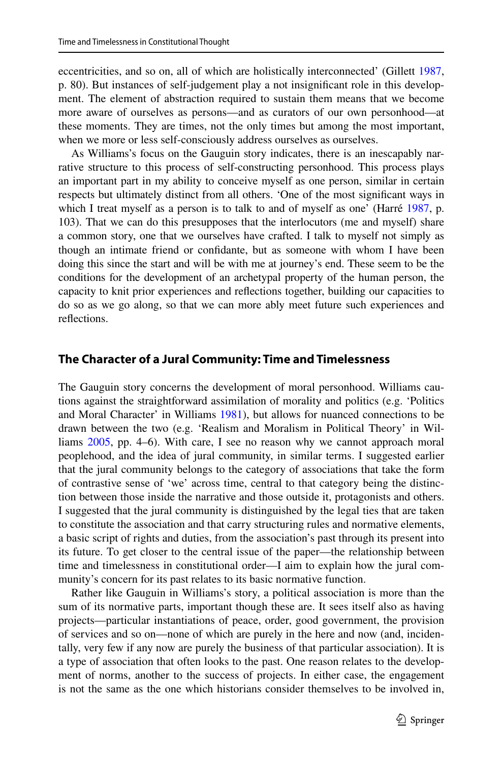eccentricities, and so on, all of which are holistically interconnected' (Gillett [1987,](#page-14-18) p. 80). But instances of self-judgement play a not insignifcant role in this development. The element of abstraction required to sustain them means that we become more aware of ourselves as persons—and as curators of our own personhood—at these moments. They are times, not the only times but among the most important, when we more or less self-consciously address ourselves as ourselves.

As Williams's focus on the Gauguin story indicates, there is an inescapably narrative structure to this process of self-constructing personhood. This process plays an important part in my ability to conceive myself as one person, similar in certain respects but ultimately distinct from all others. 'One of the most signifcant ways in which I treat myself as a person is to talk to and of myself as one' (Harré [1987](#page-14-19), p. 103). That we can do this presupposes that the interlocutors (me and myself) share a common story, one that we ourselves have crafted. I talk to myself not simply as though an intimate friend or confdante, but as someone with whom I have been doing this since the start and will be with me at journey's end. These seem to be the conditions for the development of an archetypal property of the human person, the capacity to knit prior experiences and refections together, building our capacities to do so as we go along, so that we can more ably meet future such experiences and refections.

#### **The Character of a Jural Community: Time and Timelessness**

The Gauguin story concerns the development of moral personhood. Williams cautions against the straightforward assimilation of morality and politics (e.g. 'Politics and Moral Character' in Williams [1981](#page-15-4)), but allows for nuanced connections to be drawn between the two (e.g. 'Realism and Moralism in Political Theory' in Williams [2005,](#page-15-3) pp. 4–6). With care, I see no reason why we cannot approach moral peoplehood, and the idea of jural community, in similar terms. I suggested earlier that the jural community belongs to the category of associations that take the form of contrastive sense of 'we' across time, central to that category being the distinction between those inside the narrative and those outside it, protagonists and others. I suggested that the jural community is distinguished by the legal ties that are taken to constitute the association and that carry structuring rules and normative elements, a basic script of rights and duties, from the association's past through its present into its future. To get closer to the central issue of the paper—the relationship between time and timelessness in constitutional order—I aim to explain how the jural community's concern for its past relates to its basic normative function.

Rather like Gauguin in Williams's story, a political association is more than the sum of its normative parts, important though these are. It sees itself also as having projects—particular instantiations of peace, order, good government, the provision of services and so on—none of which are purely in the here and now (and, incidentally, very few if any now are purely the business of that particular association). It is a type of association that often looks to the past. One reason relates to the development of norms, another to the success of projects. In either case, the engagement is not the same as the one which historians consider themselves to be involved in,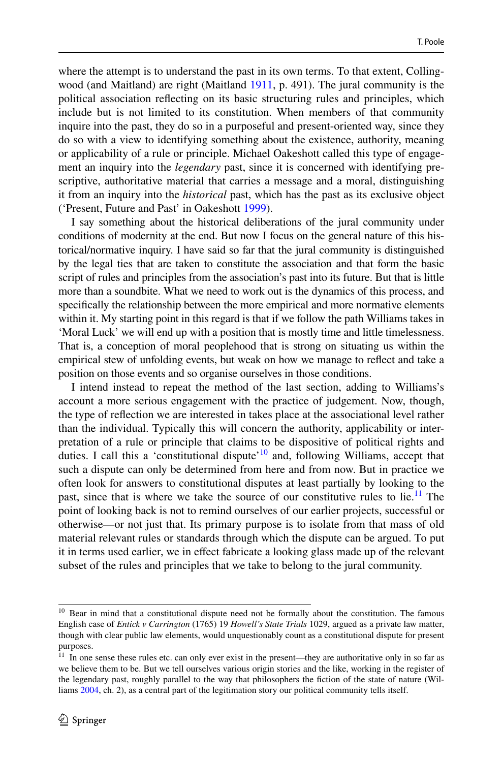where the attempt is to understand the past in its own terms. To that extent, Collingwood (and Maitland) are right (Maitland [1911,](#page-14-20) p. 491). The jural community is the political association refecting on its basic structuring rules and principles, which include but is not limited to its constitution. When members of that community inquire into the past, they do so in a purposeful and present-oriented way, since they do so with a view to identifying something about the existence, authority, meaning or applicability of a rule or principle. Michael Oakeshott called this type of engagement an inquiry into the *legendary* past, since it is concerned with identifying prescriptive, authoritative material that carries a message and a moral, distinguishing it from an inquiry into the *historical* past, which has the past as its exclusive object ('Present, Future and Past' in Oakeshott [1999\)](#page-14-21).

I say something about the historical deliberations of the jural community under conditions of modernity at the end. But now I focus on the general nature of this historical/normative inquiry. I have said so far that the jural community is distinguished by the legal ties that are taken to constitute the association and that form the basic script of rules and principles from the association's past into its future. But that is little more than a soundbite. What we need to work out is the dynamics of this process, and specifcally the relationship between the more empirical and more normative elements within it. My starting point in this regard is that if we follow the path Williams takes in 'Moral Luck' we will end up with a position that is mostly time and little timelessness. That is, a conception of moral peoplehood that is strong on situating us within the empirical stew of unfolding events, but weak on how we manage to refect and take a position on those events and so organise ourselves in those conditions.

I intend instead to repeat the method of the last section, adding to Williams's account a more serious engagement with the practice of judgement. Now, though, the type of refection we are interested in takes place at the associational level rather than the individual. Typically this will concern the authority, applicability or interpretation of a rule or principle that claims to be dispositive of political rights and duties. I call this a 'constitutional dispute'<sup>10</sup> and, following Williams, accept that such a dispute can only be determined from here and from now. But in practice we often look for answers to constitutional disputes at least partially by looking to the past, since that is where we take the source of our constitutive rules to lie.<sup>[11](#page-9-1)</sup> The point of looking back is not to remind ourselves of our earlier projects, successful or otherwise—or not just that. Its primary purpose is to isolate from that mass of old material relevant rules or standards through which the dispute can be argued. To put it in terms used earlier, we in efect fabricate a looking glass made up of the relevant subset of the rules and principles that we take to belong to the jural community.

<span id="page-9-0"></span><sup>&</sup>lt;sup>10</sup> Bear in mind that a constitutional dispute need not be formally about the constitution. The famous English case of *Entick v Carrington* (1765) 19 *Howell's State Trials* 1029, argued as a private law matter, though with clear public law elements, would unquestionably count as a constitutional dispute for present purposes.

<span id="page-9-1"></span><sup>&</sup>lt;sup>11</sup> In one sense these rules etc. can only ever exist in the present—they are authoritative only in so far as we believe them to be. But we tell ourselves various origin stories and the like, working in the register of the legendary past, roughly parallel to the way that philosophers the fction of the state of nature (Williams [2004](#page-15-2), ch. 2), as a central part of the legitimation story our political community tells itself.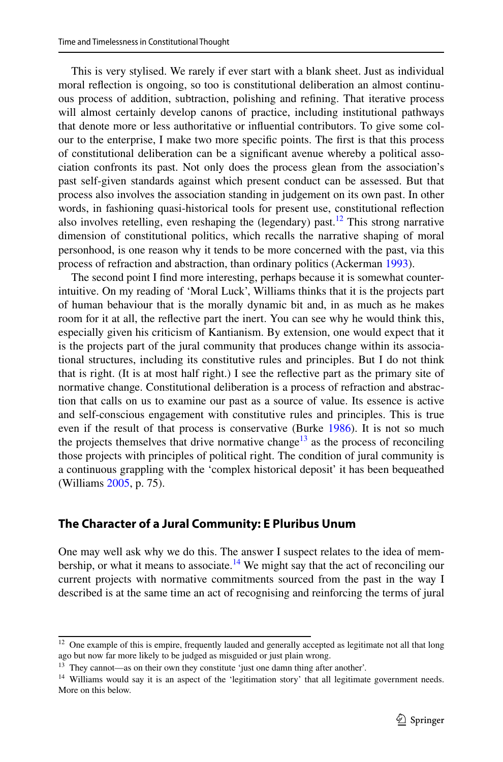This is very stylised. We rarely if ever start with a blank sheet. Just as individual moral refection is ongoing, so too is constitutional deliberation an almost continuous process of addition, subtraction, polishing and refning. That iterative process will almost certainly develop canons of practice, including institutional pathways that denote more or less authoritative or infuential contributors. To give some colour to the enterprise, I make two more specifc points. The frst is that this process of constitutional deliberation can be a signifcant avenue whereby a political association confronts its past. Not only does the process glean from the association's past self-given standards against which present conduct can be assessed. But that process also involves the association standing in judgement on its own past. In other words, in fashioning quasi-historical tools for present use, constitutional refection also involves retelling, even reshaping the (legendary) past.<sup>12</sup> This strong narrative dimension of constitutional politics, which recalls the narrative shaping of moral personhood, is one reason why it tends to be more concerned with the past, via this process of refraction and abstraction, than ordinary politics (Ackerman [1993\)](#page-14-22).

The second point I fnd more interesting, perhaps because it is somewhat counterintuitive. On my reading of 'Moral Luck', Williams thinks that it is the projects part of human behaviour that is the morally dynamic bit and, in as much as he makes room for it at all, the refective part the inert. You can see why he would think this, especially given his criticism of Kantianism. By extension, one would expect that it is the projects part of the jural community that produces change within its associational structures, including its constitutive rules and principles. But I do not think that is right. (It is at most half right.) I see the refective part as the primary site of normative change. Constitutional deliberation is a process of refraction and abstraction that calls on us to examine our past as a source of value. Its essence is active and self-conscious engagement with constitutive rules and principles. This is true even if the result of that process is conservative (Burke [1986\)](#page-14-5). It is not so much the projects themselves that drive normative change<sup>13</sup> as the process of reconciling those projects with principles of political right. The condition of jural community is a continuous grappling with the 'complex historical deposit' it has been bequeathed (Williams [2005](#page-15-3), p. 75).

#### **The Character of a Jural Community: E Pluribus Unum**

One may well ask why we do this. The answer I suspect relates to the idea of membership, or what it means to associate.<sup>14</sup> We might say that the act of reconciling our current projects with normative commitments sourced from the past in the way I described is at the same time an act of recognising and reinforcing the terms of jural

<span id="page-10-0"></span><sup>&</sup>lt;sup>12</sup> One example of this is empire, frequently lauded and generally accepted as legitimate not all that long ago but now far more likely to be judged as misguided or just plain wrong.

<span id="page-10-1"></span><sup>13</sup> They cannot—as on their own they constitute 'just one damn thing after another'.

<span id="page-10-2"></span><sup>&</sup>lt;sup>14</sup> Williams would say it is an aspect of the 'legitimation story' that all legitimate government needs. More on this below.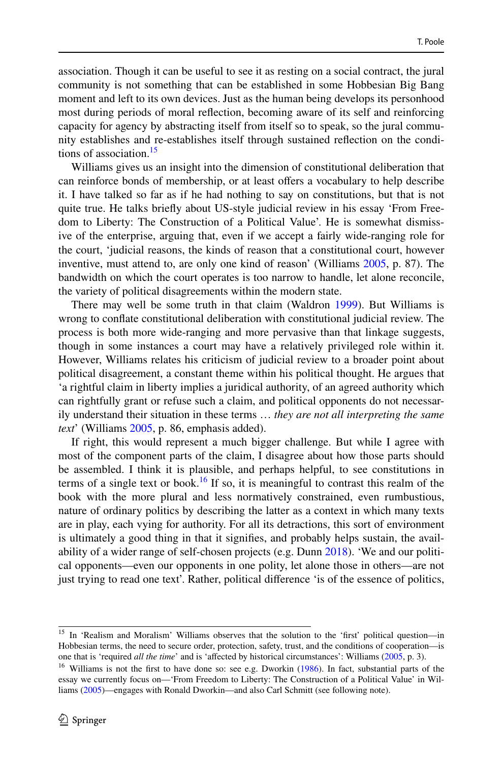association. Though it can be useful to see it as resting on a social contract, the jural community is not something that can be established in some Hobbesian Big Bang moment and left to its own devices. Just as the human being develops its personhood most during periods of moral refection, becoming aware of its self and reinforcing capacity for agency by abstracting itself from itself so to speak, so the jural community establishes and re-establishes itself through sustained refection on the condi-tions of association.<sup>[15](#page-11-0)</sup>

Williams gives us an insight into the dimension of constitutional deliberation that can reinforce bonds of membership, or at least ofers a vocabulary to help describe it. I have talked so far as if he had nothing to say on constitutions, but that is not quite true. He talks briefy about US-style judicial review in his essay 'From Freedom to Liberty: The Construction of a Political Value'. He is somewhat dismissive of the enterprise, arguing that, even if we accept a fairly wide-ranging role for the court, 'judicial reasons, the kinds of reason that a constitutional court, however inventive, must attend to, are only one kind of reason' (Williams [2005,](#page-15-3) p. 87). The bandwidth on which the court operates is too narrow to handle, let alone reconcile, the variety of political disagreements within the modern state.

There may well be some truth in that claim (Waldron [1999\)](#page-15-8). But Williams is wrong to confate constitutional deliberation with constitutional judicial review. The process is both more wide-ranging and more pervasive than that linkage suggests, though in some instances a court may have a relatively privileged role within it. However, Williams relates his criticism of judicial review to a broader point about political disagreement, a constant theme within his political thought. He argues that 'a rightful claim in liberty implies a juridical authority, of an agreed authority which can rightfully grant or refuse such a claim, and political opponents do not necessarily understand their situation in these terms … *they are not all interpreting the same text*' (Williams [2005](#page-15-3), p. 86, emphasis added).

If right, this would represent a much bigger challenge. But while I agree with most of the component parts of the claim, I disagree about how those parts should be assembled. I think it is plausible, and perhaps helpful, to see constitutions in terms of a single text or book.<sup>[16](#page-11-1)</sup> If so, it is meaningful to contrast this realm of the book with the more plural and less normatively constrained, even rumbustious, nature of ordinary politics by describing the latter as a context in which many texts are in play, each vying for authority. For all its detractions, this sort of environment is ultimately a good thing in that it signifes, and probably helps sustain, the availability of a wider range of self-chosen projects (e.g. Dunn [2018](#page-14-23)). 'We and our political opponents—even our opponents in one polity, let alone those in others—are not just trying to read one text'. Rather, political diference 'is of the essence of politics,

<span id="page-11-0"></span><sup>&</sup>lt;sup>15</sup> In 'Realism and Moralism' Williams observes that the solution to the 'first' political question—in Hobbesian terms, the need to secure order, protection, safety, trust, and the conditions of cooperation—is one that is 'required *all the time*' and is 'afected by historical circumstances': Williams [\(2005](#page-15-3), p. 3).

<span id="page-11-1"></span><sup>&</sup>lt;sup>16</sup> Williams is not the first to have done so: see e.g. Dworkin [\(1986](#page-14-24)). In fact, substantial parts of the essay we currently focus on—'From Freedom to Liberty: The Construction of a Political Value' in Williams [\(2005](#page-15-3))—engages with Ronald Dworkin—and also Carl Schmitt (see following note).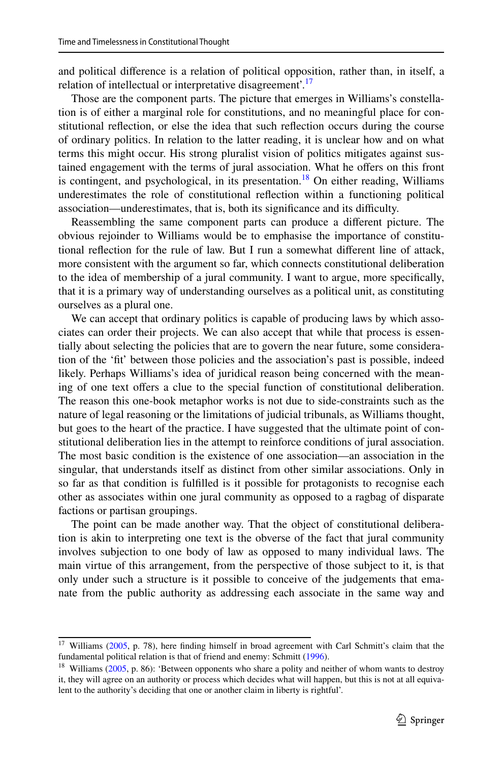and political diference is a relation of political opposition, rather than, in itself, a relation of intellectual or interpretative disagreement'.[17](#page-12-0)

Those are the component parts. The picture that emerges in Williams's constellation is of either a marginal role for constitutions, and no meaningful place for constitutional refection, or else the idea that such refection occurs during the course of ordinary politics. In relation to the latter reading, it is unclear how and on what terms this might occur. His strong pluralist vision of politics mitigates against sustained engagement with the terms of jural association. What he offers on this front is contingent, and psychological, in its presentation.<sup>18</sup> On either reading, Williams underestimates the role of constitutional refection within a functioning political association—underestimates, that is, both its significance and its difficulty.

Reassembling the same component parts can produce a diferent picture. The obvious rejoinder to Williams would be to emphasise the importance of constitutional refection for the rule of law. But I run a somewhat diferent line of attack, more consistent with the argument so far, which connects constitutional deliberation to the idea of membership of a jural community. I want to argue, more specifcally, that it is a primary way of understanding ourselves as a political unit, as constituting ourselves as a plural one.

We can accept that ordinary politics is capable of producing laws by which associates can order their projects. We can also accept that while that process is essentially about selecting the policies that are to govern the near future, some consideration of the 'ft' between those policies and the association's past is possible, indeed likely. Perhaps Williams's idea of juridical reason being concerned with the meaning of one text offers a clue to the special function of constitutional deliberation. The reason this one-book metaphor works is not due to side-constraints such as the nature of legal reasoning or the limitations of judicial tribunals, as Williams thought, but goes to the heart of the practice. I have suggested that the ultimate point of constitutional deliberation lies in the attempt to reinforce conditions of jural association. The most basic condition is the existence of one association—an association in the singular, that understands itself as distinct from other similar associations. Only in so far as that condition is fulflled is it possible for protagonists to recognise each other as associates within one jural community as opposed to a ragbag of disparate factions or partisan groupings.

The point can be made another way. That the object of constitutional deliberation is akin to interpreting one text is the obverse of the fact that jural community involves subjection to one body of law as opposed to many individual laws. The main virtue of this arrangement, from the perspective of those subject to it, is that only under such a structure is it possible to conceive of the judgements that emanate from the public authority as addressing each associate in the same way and

<span id="page-12-0"></span><sup>&</sup>lt;sup>17</sup> Williams [\(2005](#page-15-3), p. 78), here finding himself in broad agreement with Carl Schmitt's claim that the fundamental political relation is that of friend and enemy: Schmitt [\(1996](#page-15-1)).

<span id="page-12-1"></span><sup>&</sup>lt;sup>18</sup> Williams ([2005,](#page-15-3) p. 86): 'Between opponents who share a polity and neither of whom wants to destroy it, they will agree on an authority or process which decides what will happen, but this is not at all equivalent to the authority's deciding that one or another claim in liberty is rightful'.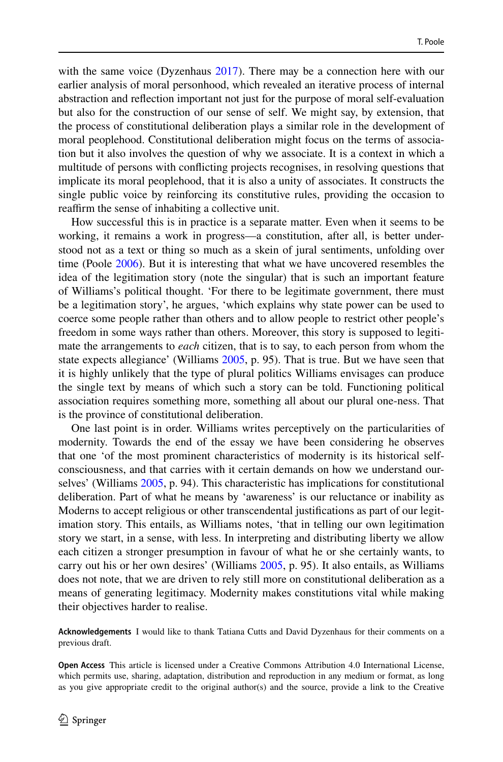with the same voice (Dyzenhaus [2017](#page-14-25)). There may be a connection here with our earlier analysis of moral personhood, which revealed an iterative process of internal abstraction and refection important not just for the purpose of moral self-evaluation but also for the construction of our sense of self. We might say, by extension, that the process of constitutional deliberation plays a similar role in the development of moral peoplehood. Constitutional deliberation might focus on the terms of association but it also involves the question of why we associate. It is a context in which a multitude of persons with conficting projects recognises, in resolving questions that implicate its moral peoplehood, that it is also a unity of associates. It constructs the single public voice by reinforcing its constitutive rules, providing the occasion to reaffirm the sense of inhabiting a collective unit.

How successful this is in practice is a separate matter. Even when it seems to be working, it remains a work in progress—a constitution, after all, is better understood not as a text or thing so much as a skein of jural sentiments, unfolding over time (Poole [2006](#page-14-26)). But it is interesting that what we have uncovered resembles the idea of the legitimation story (note the singular) that is such an important feature of Williams's political thought. 'For there to be legitimate government, there must be a legitimation story', he argues, 'which explains why state power can be used to coerce some people rather than others and to allow people to restrict other people's freedom in some ways rather than others. Moreover, this story is supposed to legitimate the arrangements to *each* citizen, that is to say, to each person from whom the state expects allegiance' (Williams [2005,](#page-15-3) p. 95). That is true. But we have seen that it is highly unlikely that the type of plural politics Williams envisages can produce the single text by means of which such a story can be told. Functioning political association requires something more, something all about our plural one-ness. That is the province of constitutional deliberation.

One last point is in order. Williams writes perceptively on the particularities of modernity. Towards the end of the essay we have been considering he observes that one 'of the most prominent characteristics of modernity is its historical selfconsciousness, and that carries with it certain demands on how we understand ourselves' (Williams [2005,](#page-15-3) p. 94). This characteristic has implications for constitutional deliberation. Part of what he means by 'awareness' is our reluctance or inability as Moderns to accept religious or other transcendental justifcations as part of our legitimation story. This entails, as Williams notes, 'that in telling our own legitimation story we start, in a sense, with less. In interpreting and distributing liberty we allow each citizen a stronger presumption in favour of what he or she certainly wants, to carry out his or her own desires' (Williams [2005](#page-15-3), p. 95). It also entails, as Williams does not note, that we are driven to rely still more on constitutional deliberation as a means of generating legitimacy. Modernity makes constitutions vital while making their objectives harder to realise.

**Acknowledgements** I would like to thank Tatiana Cutts and David Dyzenhaus for their comments on a previous draft.

**Open Access** This article is licensed under a Creative Commons Attribution 4.0 International License, which permits use, sharing, adaptation, distribution and reproduction in any medium or format, as long as you give appropriate credit to the original author(s) and the source, provide a link to the Creative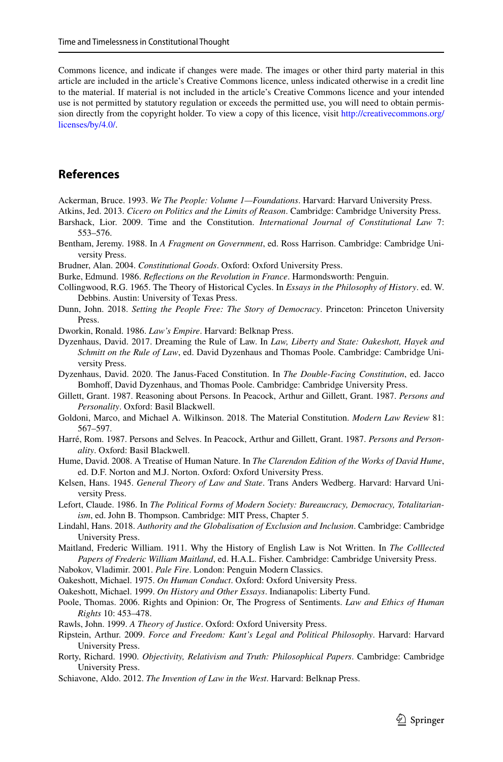Commons licence, and indicate if changes were made. The images or other third party material in this article are included in the article's Creative Commons licence, unless indicated otherwise in a credit line to the material. If material is not included in the article's Creative Commons licence and your intended use is not permitted by statutory regulation or exceeds the permitted use, you will need to obtain permission directly from the copyright holder. To view a copy of this licence, visit [http://creativecommons.org/](http://creativecommons.org/licenses/by/4.0/) [licenses/by/4.0/.](http://creativecommons.org/licenses/by/4.0/)

# **References**

- <span id="page-14-22"></span>Ackerman, Bruce. 1993. *We The People: Volume 1—Foundations*. Harvard: Harvard University Press.
- <span id="page-14-14"></span>Atkins, Jed. 2013. *Cicero on Politics and the Limits of Reason*. Cambridge: Cambridge University Press.
- <span id="page-14-6"></span>Barshack, Lior. 2009. Time and the Constitution. *International Journal of Constitutional Law* 7: 553–576.
- <span id="page-14-7"></span>Bentham, Jeremy. 1988. In *A Fragment on Government*, ed. Ross Harrison. Cambridge: Cambridge University Press.
- <span id="page-14-10"></span>Brudner, Alan. 2004. *Constitutional Goods*. Oxford: Oxford University Press.
- <span id="page-14-5"></span>Burke, Edmund. 1986. *Refections on the Revolution in France*. Harmondsworth: Penguin.
- <span id="page-14-16"></span>Collingwood, R.G. 1965. The Theory of Historical Cycles. In *Essays in the Philosophy of History*. ed. W. Debbins. Austin: University of Texas Press.
- <span id="page-14-23"></span>Dunn, John. 2018. *Setting the People Free: The Story of Democracy*. Princeton: Princeton University Press.
- <span id="page-14-24"></span>Dworkin, Ronald. 1986. *Law's Empire*. Harvard: Belknap Press.
- <span id="page-14-25"></span>Dyzenhaus, David. 2017. Dreaming the Rule of Law. In *Law, Liberty and State: Oakeshott, Hayek and Schmitt on the Rule of Law*, ed. David Dyzenhaus and Thomas Poole. Cambridge: Cambridge University Press.
- <span id="page-14-3"></span>Dyzenhaus, David. 2020. The Janus-Faced Constitution. In *The Double-Facing Constitution*, ed. Jacco Bomhof, David Dyzenhaus, and Thomas Poole. Cambridge: Cambridge University Press.
- <span id="page-14-18"></span>Gillett, Grant. 1987. Reasoning about Persons. In Peacock, Arthur and Gillett, Grant. 1987. *Persons and Personality*. Oxford: Basil Blackwell.
- <span id="page-14-12"></span>Goldoni, Marco, and Michael A. Wilkinson. 2018. The Material Constitution. *Modern Law Review* 81: 567–597.
- <span id="page-14-19"></span>Harré, Rom. 1987. Persons and Selves. In Peacock, Arthur and Gillett, Grant. 1987. *Persons and Personality*. Oxford: Basil Blackwell.
- <span id="page-14-17"></span>Hume, David. 2008. A Treatise of Human Nature. In *The Clarendon Edition of the Works of David Hume*, ed. D.F. Norton and M.J. Norton. Oxford: Oxford University Press.
- <span id="page-14-8"></span>Kelsen, Hans. 1945. *General Theory of Law and State*. Trans Anders Wedberg. Harvard: Harvard University Press.
- <span id="page-14-4"></span>Lefort, Claude. 1986. In *The Political Forms of Modern Society: Bureaucracy, Democracy, Totalitarianism*, ed. John B. Thompson. Cambridge: MIT Press, Chapter 5.
- <span id="page-14-1"></span>Lindahl, Hans. 2018. *Authority and the Globalisation of Exclusion and Inclusion*. Cambridge: Cambridge University Press.
- <span id="page-14-20"></span>Maitland, Frederic William. 1911. Why the History of English Law is Not Written. In *The Colllected Papers of Frederic William Maitland*, ed. H.A.L. Fisher. Cambridge: Cambridge University Press.
- <span id="page-14-0"></span>Nabokov, Vladimir. 2001. *Pale Fire*. London: Penguin Modern Classics.
- <span id="page-14-2"></span>Oakeshott, Michael. 1975. *On Human Conduct*. Oxford: Oxford University Press.

<span id="page-14-21"></span>Oakeshott, Michael. 1999. *On History and Other Essays*. Indianapolis: Liberty Fund.

- <span id="page-14-26"></span>Poole, Thomas. 2006. Rights and Opinion: Or, The Progress of Sentiments. *Law and Ethics of Human Rights* 10: 453–478.
- <span id="page-14-9"></span>Rawls, John. 1999. *A Theory of Justice*. Oxford: Oxford University Press.
- <span id="page-14-11"></span>Ripstein, Arthur. 2009. *Force and Freedom: Kant's Legal and Political Philosophy*. Harvard: Harvard University Press.
- <span id="page-14-15"></span>Rorty, Richard. 1990. *Objectivity, Relativism and Truth: Philosophical Papers*. Cambridge: Cambridge University Press.
- <span id="page-14-13"></span>Schiavone, Aldo. 2012. *The Invention of Law in the West*. Harvard: Belknap Press.